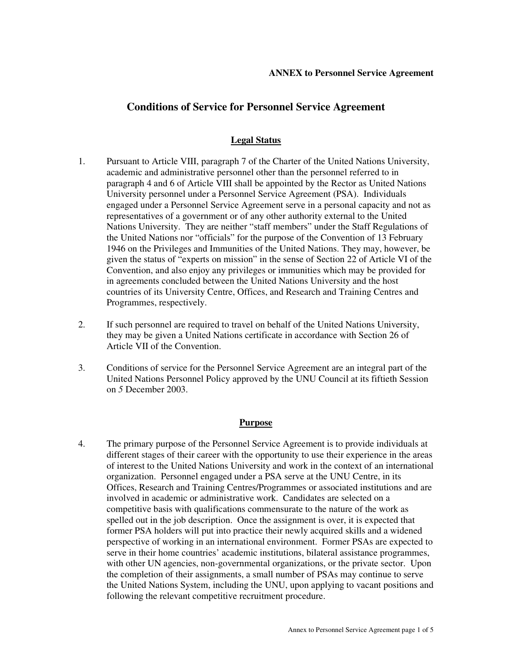# **Conditions of Service for Personnel Service Agreement**

## **Legal Status**

- 1. Pursuant to Article VIII, paragraph 7 of the Charter of the United Nations University, academic and administrative personnel other than the personnel referred to in paragraph 4 and 6 of Article VIII shall be appointed by the Rector as United Nations University personnel under a Personnel Service Agreement (PSA). Individuals engaged under a Personnel Service Agreement serve in a personal capacity and not as representatives of a government or of any other authority external to the United Nations University. They are neither "staff members" under the Staff Regulations of the United Nations nor "officials" for the purpose of the Convention of 13 February 1946 on the Privileges and Immunities of the United Nations. They may, however, be given the status of "experts on mission" in the sense of Section 22 of Article VI of the Convention, and also enjoy any privileges or immunities which may be provided for in agreements concluded between the United Nations University and the host countries of its University Centre, Offices, and Research and Training Centres and Programmes, respectively.
- 2. If such personnel are required to travel on behalf of the United Nations University, they may be given a United Nations certificate in accordance with Section 26 of Article VII of the Convention.
- 3. Conditions of service for the Personnel Service Agreement are an integral part of the United Nations Personnel Policy approved by the UNU Council at its fiftieth Session on *5* December 2003.

### **Purpose**

4. The primary purpose of the Personnel Service Agreement is to provide individuals at different stages of their career with the opportunity to use their experience in the areas of interest to the United Nations University and work in the context of an international organization. Personnel engaged under a PSA serve at the UNU Centre, in its Offices, Research and Training Centres/Programmes or associated institutions and are involved in academic or administrative work. Candidates are selected on a competitive basis with qualifications commensurate to the nature of the work as spelled out in the job description. Once the assignment is over, it is expected that former PSA holders will put into practice their newly acquired skills and a widened perspective of working in an international environment. Former PSAs are expected to serve in their home countries' academic institutions, bilateral assistance programmes, with other UN agencies, non-governmental organizations, or the private sector. Upon the completion of their assignments, a small number of PSAs may continue to serve the United Nations System, including the UNU, upon applying to vacant positions and following the relevant competitive recruitment procedure.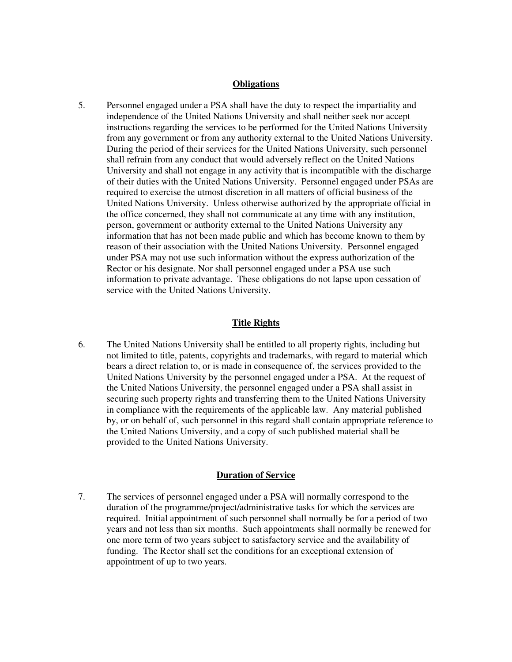#### **Obligations**

5. Personnel engaged under a PSA shall have the duty to respect the impartiality and independence of the United Nations University and shall neither seek nor accept instructions regarding the services to be performed for the United Nations University from any government or from any authority external to the United Nations University. During the period of their services for the United Nations University, such personnel shall refrain from any conduct that would adversely reflect on the United Nations University and shall not engage in any activity that is incompatible with the discharge of their duties with the United Nations University. Personnel engaged under PSAs are required to exercise the utmost discretion in all matters of official business of the United Nations University. Unless otherwise authorized by the appropriate official in the office concerned, they shall not communicate at any time with any institution, person, government or authority external to the United Nations University any information that has not been made public and which has become known to them by reason of their association with the United Nations University. Personnel engaged under PSA may not use such information without the express authorization of the Rector or his designate. Nor shall personnel engaged under a PSA use such information to private advantage. These obligations do not lapse upon cessation of service with the United Nations University.

### **Title Rights**

6. The United Nations University shall be entitled to all property rights, including but not limited to title, patents, copyrights and trademarks, with regard to material which bears a direct relation to, or is made in consequence of, the services provided to the United Nations University by the personnel engaged under a PSA. At the request of the United Nations University, the personnel engaged under a PSA shall assist in securing such property rights and transferring them to the United Nations University in compliance with the requirements of the applicable law. Any material published by, or on behalf of, such personnel in this regard shall contain appropriate reference to the United Nations University, and a copy of such published material shall be provided to the United Nations University.

#### **Duration of Service**

7. The services of personnel engaged under a PSA will normally correspond to the duration of the programme/project/administrative tasks for which the services are required. Initial appointment of such personnel shall normally be for a period of two years and not less than six months. Such appointments shall normally be renewed for one more term of two years subject to satisfactory service and the availability of funding. The Rector shall set the conditions for an exceptional extension of appointment of up to two years.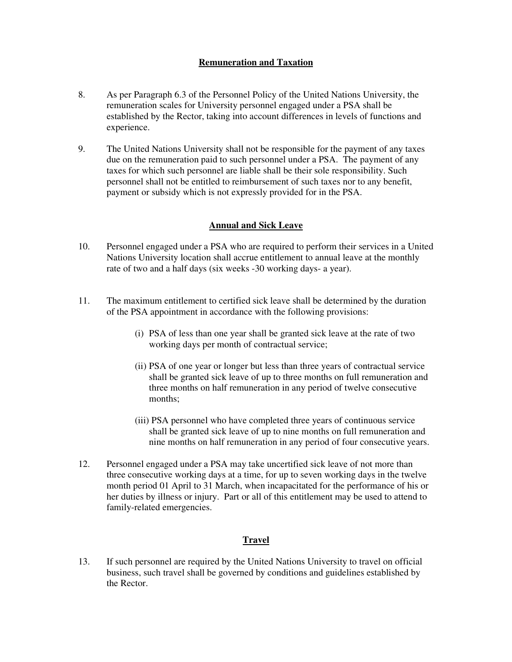## **Remuneration and Taxation**

- 8. As per Paragraph 6.3 of the Personnel Policy of the United Nations University, the remuneration scales for University personnel engaged under a PSA shall be established by the Rector, taking into account differences in levels of functions and experience.
- 9. The United Nations University shall not be responsible for the payment of any taxes due on the remuneration paid to such personnel under a PSA. The payment of any taxes for which such personnel are liable shall be their sole responsibility. Such personnel shall not be entitled to reimbursement of such taxes nor to any benefit, payment or subsidy which is not expressly provided for in the PSA.

## **Annual and Sick Leave**

- 10. Personnel engaged under a PSA who are required to perform their services in a United Nations University location shall accrue entitlement to annual leave at the monthly rate of two and a half days (six weeks -30 working days- a year).
- 11. The maximum entitlement to certified sick leave shall be determined by the duration of the PSA appointment in accordance with the following provisions:
	- (i) PSA of less than one year shall be granted sick leave at the rate of two working days per month of contractual service;
	- (ii) PSA of one year or longer but less than three years of contractual service shall be granted sick leave of up to three months on full remuneration and three months on half remuneration in any period of twelve consecutive months;
	- (iii) PSA personnel who have completed three years of continuous service shall be granted sick leave of up to nine months on full remuneration and nine months on half remuneration in any period of four consecutive years.
- 12. Personnel engaged under a PSA may take uncertified sick leave of not more than three consecutive working days at a time, for up to seven working days in the twelve month period 01 April to 31 March, when incapacitated for the performance of his or her duties by illness or injury. Part or all of this entitlement may be used to attend to family-related emergencies.

## **Travel**

13. If such personnel are required by the United Nations University to travel on official business, such travel shall be governed by conditions and guidelines established by the Rector.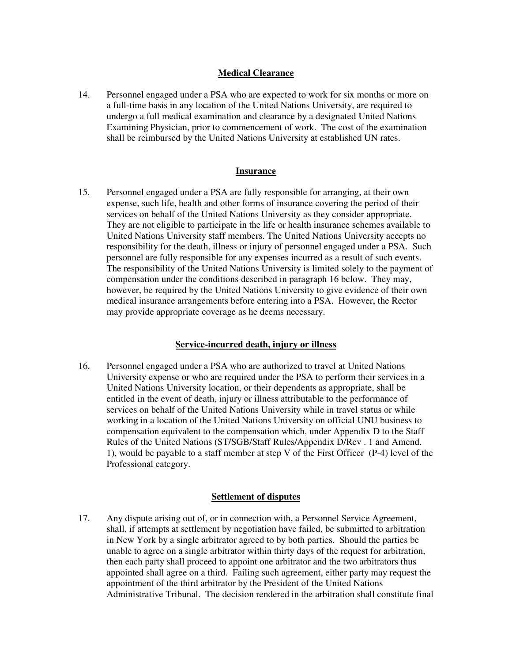### **Medical Clearance**

14. Personnel engaged under a PSA who are expected to work for six months or more on a full-time basis in any location of the United Nations University, are required to undergo a full medical examination and clearance by a designated United Nations Examining Physician, prior to commencement of work. The cost of the examination shall be reimbursed by the United Nations University at established UN rates.

#### **Insurance**

15. Personnel engaged under a PSA are fully responsible for arranging, at their own expense, such life, health and other forms of insurance covering the period of their services on behalf of the United Nations University as they consider appropriate. They are not eligible to participate in the life or health insurance schemes available to United Nations University staff members. The United Nations University accepts no responsibility for the death, illness or injury of personnel engaged under a PSA. Such personnel are fully responsible for any expenses incurred as a result of such events. The responsibility of the United Nations University is limited solely to the payment of compensation under the conditions described in paragraph 16 below. They may, however, be required by the United Nations University to give evidence of their own medical insurance arrangements before entering into a PSA. However, the Rector may provide appropriate coverage as he deems necessary.

### **Service-incurred death, injury or illness**

16. Personnel engaged under a PSA who are authorized to travel at United Nations University expense or who are required under the PSA to perform their services in a United Nations University location, or their dependents as appropriate, shall be entitled in the event of death, injury or illness attributable to the performance of services on behalf of the United Nations University while in travel status or while working in a location of the United Nations University on official UNU business to compensation equivalent to the compensation which, under Appendix D to the Staff Rules of the United Nations (ST/SGB/Staff Rules/Appendix D/Rev . 1 and Amend. 1), would be payable to a staff member at step V of the First Officer (P-4) level of the Professional category.

### **Settlement of disputes**

17. Any dispute arising out of, or in connection with, a Personnel Service Agreement, shall, if attempts at settlement by negotiation have failed, be submitted to arbitration in New York by a single arbitrator agreed to by both parties. Should the parties be unable to agree on a single arbitrator within thirty days of the request for arbitration, then each party shall proceed to appoint one arbitrator and the two arbitrators thus appointed shall agree on a third. Failing such agreement, either party may request the appointment of the third arbitrator by the President of the United Nations Administrative Tribunal. The decision rendered in the arbitration shall constitute final